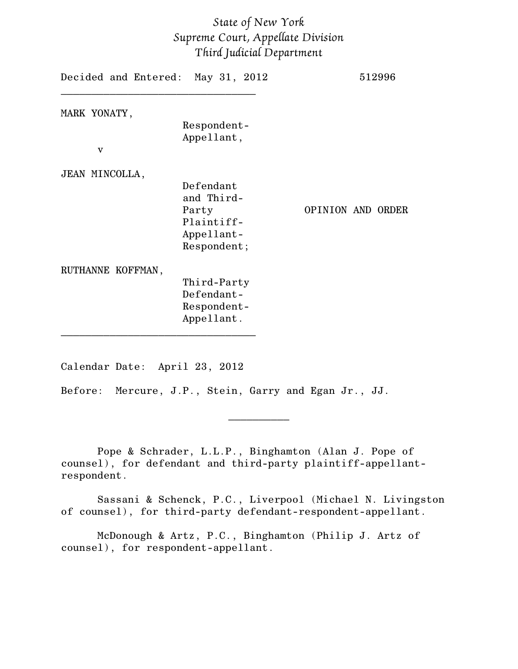## *State of New York Supreme Court, Appellate Division Third Judicial Department*

| Decided and Entered: May 31, 2012                                           | 512996            |
|-----------------------------------------------------------------------------|-------------------|
| Respondent-<br>Appellant,                                                   |                   |
| Defendant<br>and Third-<br>Party<br>Plaintiff-<br>Appellant-<br>Respondent; | OPINION AND ORDER |
| Third-Party<br>Defendant-<br>Respondent-<br>Appellant.                      |                   |
|                                                                             |                   |

Calendar Date: April 23, 2012

Before: Mercure, J.P., Stein, Garry and Egan Jr., JJ.

Pope & Schrader, L.L.P., Binghamton (Alan J. Pope of counsel), for defendant and third-party plaintiff-appellantrespondent.

Sassani & Schenck, P.C., Liverpool (Michael N. Livingston of counsel), for third-party defendant-respondent-appellant.

 $\frac{1}{2}$ 

McDonough & Artz, P.C., Binghamton (Philip J. Artz of counsel), for respondent-appellant.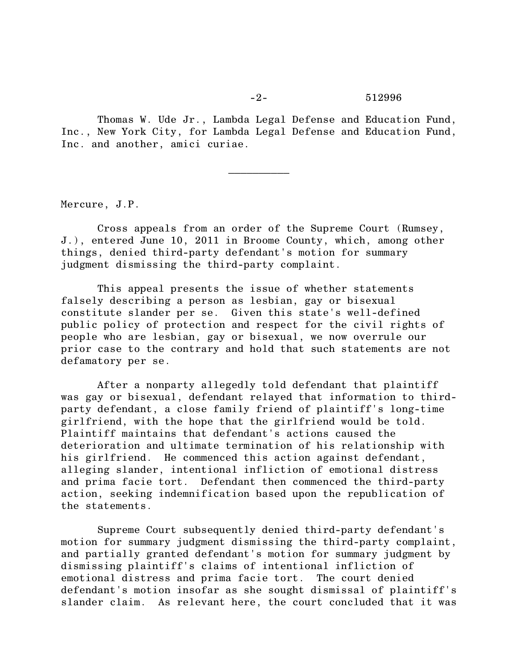-2- 512996

Thomas W. Ude Jr., Lambda Legal Defense and Education Fund, Inc., New York City, for Lambda Legal Defense and Education Fund, Inc. and another, amici curiae.

 $\frac{1}{2}$ 

Mercure, J.P.

Cross appeals from an order of the Supreme Court (Rumsey, J.), entered June 10, 2011 in Broome County, which, among other things, denied third-party defendant's motion for summary judgment dismissing the third-party complaint.

This appeal presents the issue of whether statements falsely describing a person as lesbian, gay or bisexual constitute slander per se. Given this state's well-defined public policy of protection and respect for the civil rights of people who are lesbian, gay or bisexual, we now overrule our prior case to the contrary and hold that such statements are not defamatory per se.

After a nonparty allegedly told defendant that plaintiff was gay or bisexual, defendant relayed that information to thirdparty defendant, a close family friend of plaintiff's long-time girlfriend, with the hope that the girlfriend would be told. Plaintiff maintains that defendant's actions caused the deterioration and ultimate termination of his relationship with his girlfriend. He commenced this action against defendant, alleging slander, intentional infliction of emotional distress and prima facie tort. Defendant then commenced the third-party action, seeking indemnification based upon the republication of the statements.

Supreme Court subsequently denied third-party defendant's motion for summary judgment dismissing the third-party complaint, and partially granted defendant's motion for summary judgment by dismissing plaintiff's claims of intentional infliction of emotional distress and prima facie tort. The court denied defendant's motion insofar as she sought dismissal of plaintiff's slander claim. As relevant here, the court concluded that it was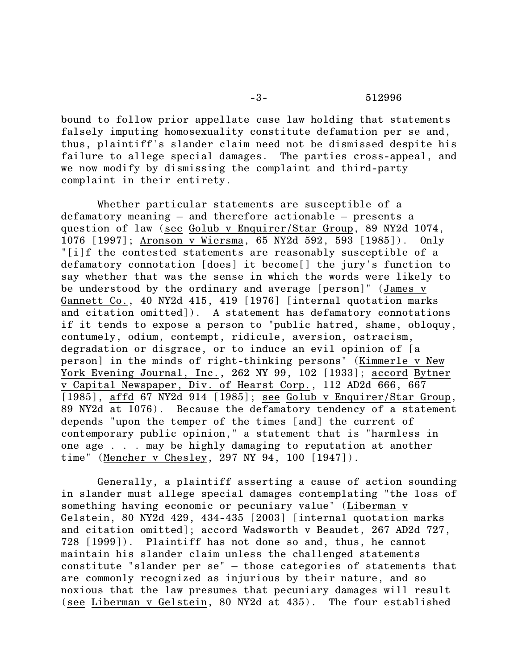## -3- 512996

bound to follow prior appellate case law holding that statements falsely imputing homosexuality constitute defamation per se and, thus, plaintiff's slander claim need not be dismissed despite his failure to allege special damages. The parties cross-appeal, and we now modify by dismissing the complaint and third-party complaint in their entirety.

Whether particular statements are susceptible of a defamatory meaning – and therefore actionable – presents a question of law (see Golub v Enquirer/Star Group, 89 NY2d 1074, 1076 [1997]; Aronson v Wiersma, 65 NY2d 592, 593 [1985]). Only "[i]f the contested statements are reasonably susceptible of a defamatory connotation [does] it become[] the jury's function to say whether that was the sense in which the words were likely to be understood by the ordinary and average [person]" (James v Gannett Co., 40 NY2d 415, 419 [1976] [internal quotation marks and citation omitted]). A statement has defamatory connotations if it tends to expose a person to "public hatred, shame, obloquy, contumely, odium, contempt, ridicule, aversion, ostracism, degradation or disgrace, or to induce an evil opinion of [a person] in the minds of right-thinking persons" (Kimmerle v New York Evening Journal, Inc., 262 NY 99, 102 [1933]; accord Bytner v Capital Newspaper, Div. of Hearst Corp., 112 AD2d 666, 667 [1985], affd 67 NY2d 914 [1985]; see Golub v Enquirer/Star Group, 89 NY2d at 1076). Because the defamatory tendency of a statement depends "upon the temper of the times [and] the current of contemporary public opinion," a statement that is "harmless in one age . . . may be highly damaging to reputation at another time" (Mencher v Chesley, 297 NY 94, 100 [1947]).

Generally, a plaintiff asserting a cause of action sounding in slander must allege special damages contemplating "the loss of something having economic or pecuniary value" (Liberman v Gelstein, 80 NY2d 429, 434-435 [2003] [internal quotation marks and citation omitted]; accord Wadsworth v Beaudet, 267 AD2d 727, 728 [1999]). Plaintiff has not done so and, thus, he cannot maintain his slander claim unless the challenged statements constitute "slander per se" – those categories of statements that are commonly recognized as injurious by their nature, and so noxious that the law presumes that pecuniary damages will result (see Liberman v Gelstein, 80 NY2d at 435). The four established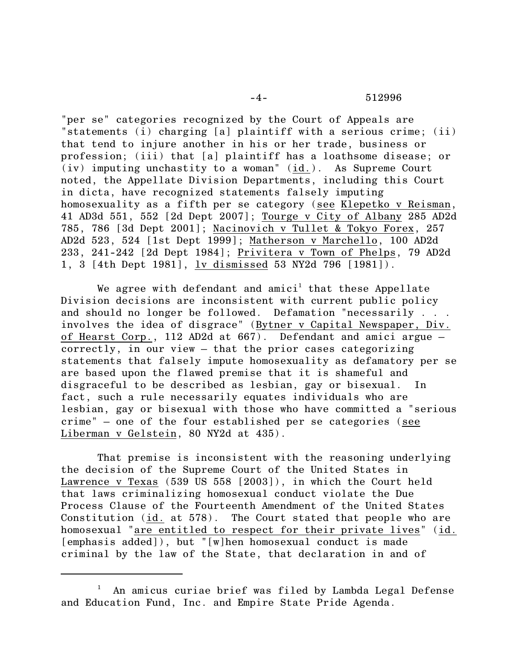"per se" categories recognized by the Court of Appeals are "statements (i) charging [a] plaintiff with a serious crime; (ii) that tend to injure another in his or her trade, business or profession; (iii) that [a] plaintiff has a loathsome disease; or (iv) imputing unchastity to a woman" (id.). As Supreme Court noted, the Appellate Division Departments, including this Court in dicta, have recognized statements falsely imputing homosexuality as a fifth per se category (see Klepetko v Reisman, 41 AD3d 551, 552 [2d Dept 2007]; Tourge v City of Albany 285 AD2d 785, 786 [3d Dept 2001]; Nacinovich v Tullet & Tokyo Forex, 257 AD2d 523, 524 [1st Dept 1999]; Matherson v Marchello, 100 AD2d 233, 241-242 [2d Dept 1984]; Privitera v Town of Phelps, 79 AD2d 1, 3 [4th Dept 1981], lv dismissed 53 NY2d 796 [1981]).

We agree with defendant and amici $^{\rm l}$  that these Appellate Division decisions are inconsistent with current public policy and should no longer be followed. Defamation "necessarily . . . involves the idea of disgrace" (Bytner v Capital Newspaper, Div. of Hearst Corp., 112 AD2d at 667). Defendant and amici argue – correctly, in our view – that the prior cases categorizing statements that falsely impute homosexuality as defamatory per se are based upon the flawed premise that it is shameful and disgraceful to be described as lesbian, gay or bisexual. In fact, such a rule necessarily equates individuals who are lesbian, gay or bisexual with those who have committed a "serious crime" – one of the four established per se categories (see Liberman v Gelstein, 80 NY2d at 435).

That premise is inconsistent with the reasoning underlying the decision of the Supreme Court of the United States in Lawrence v Texas (539 US 558 [2003]), in which the Court held that laws criminalizing homosexual conduct violate the Due Process Clause of the Fourteenth Amendment of the United States Constitution (id. at 578). The Court stated that people who are homosexual "are entitled to respect for their private lives" (id. [emphasis added]), but "[w]hen homosexual conduct is made criminal by the law of the State, that declaration in and of

An amicus curiae brief was filed by Lambda Legal Defense and Education Fund, Inc. and Empire State Pride Agenda.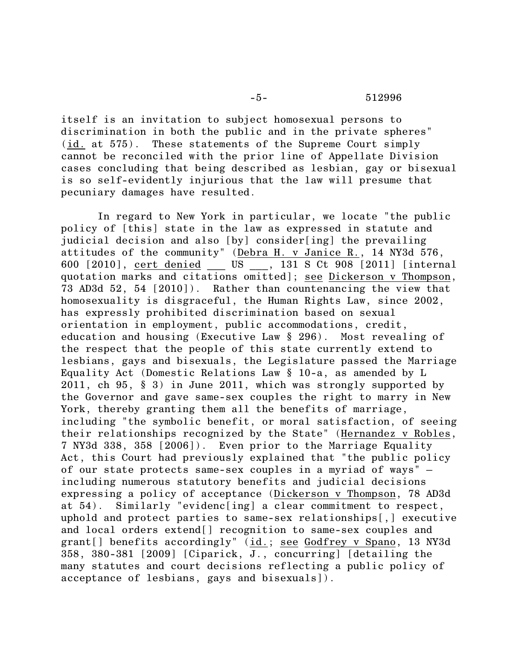## -5- 512996

itself is an invitation to subject homosexual persons to discrimination in both the public and in the private spheres" (id. at 575). These statements of the Supreme Court simply cannot be reconciled with the prior line of Appellate Division cases concluding that being described as lesbian, gay or bisexual is so self-evidently injurious that the law will presume that pecuniary damages have resulted.

In regard to New York in particular, we locate "the public policy of [this] state in the law as expressed in statute and judicial decision and also [by] consider[ing] the prevailing attitudes of the community" (Debra H. v Janice R., 14 NY3d 576, 600 [2010], cert denied \_\_\_ US \_\_\_, 131 S Ct 908 [2011] [internal quotation marks and citations omitted]; see Dickerson v Thompson, 73 AD3d 52, 54 [2010]). Rather than countenancing the view that homosexuality is disgraceful, the Human Rights Law, since 2002, has expressly prohibited discrimination based on sexual orientation in employment, public accommodations, credit, education and housing (Executive Law § 296). Most revealing of the respect that the people of this state currently extend to lesbians, gays and bisexuals, the Legislature passed the Marriage Equality Act (Domestic Relations Law § 10-a, as amended by L 2011, ch 95, § 3) in June 2011, which was strongly supported by the Governor and gave same-sex couples the right to marry in New York, thereby granting them all the benefits of marriage, including "the symbolic benefit, or moral satisfaction, of seeing their relationships recognized by the State" (Hernandez v Robles, 7 NY3d 338, 358 [2006]). Even prior to the Marriage Equality Act, this Court had previously explained that "the public policy of our state protects same-sex couples in a myriad of ways" – including numerous statutory benefits and judicial decisions expressing a policy of acceptance (Dickerson v Thompson, 78 AD3d at 54). Similarly "evidenc[ing] a clear commitment to respect, uphold and protect parties to same-sex relationships[,] executive and local orders extend[] recognition to same-sex couples and grant[] benefits accordingly" (id.; see Godfrey v Spano, 13 NY3d 358, 380-381 [2009] [Ciparick, J., concurring] [detailing the many statutes and court decisions reflecting a public policy of acceptance of lesbians, gays and bisexuals]).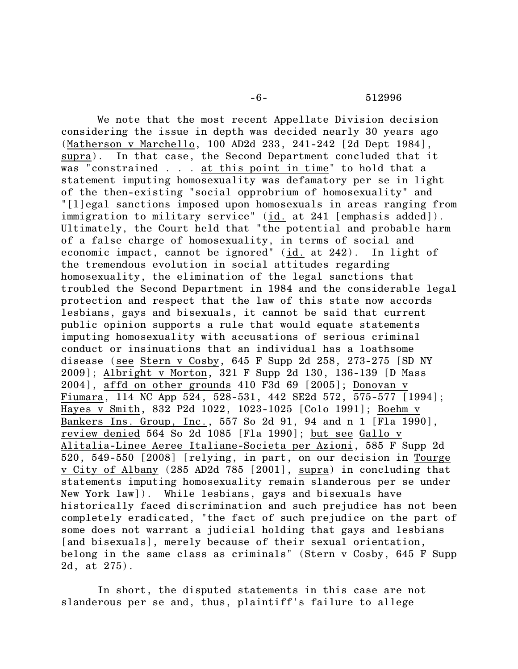-6- 512996

We note that the most recent Appellate Division decision considering the issue in depth was decided nearly 30 years ago (Matherson v Marchello, 100 AD2d 233, 241-242 [2d Dept 1984], supra). In that case, the Second Department concluded that it was "constrained . . . at this point in time" to hold that a statement imputing homosexuality was defamatory per se in light of the then-existing "social opprobrium of homosexuality" and "[l]egal sanctions imposed upon homosexuals in areas ranging from immigration to military service" (id. at 241 [emphasis added]). Ultimately, the Court held that "the potential and probable harm of a false charge of homosexuality, in terms of social and economic impact, cannot be ignored" (id. at 242). In light of the tremendous evolution in social attitudes regarding homosexuality, the elimination of the legal sanctions that troubled the Second Department in 1984 and the considerable legal protection and respect that the law of this state now accords lesbians, gays and bisexuals, it cannot be said that current public opinion supports a rule that would equate statements imputing homosexuality with accusations of serious criminal conduct or insinuations that an individual has a loathsome disease (see Stern v Cosby, 645 F Supp 2d 258, 273-275 [SD NY 2009]; Albright v Morton, 321 F Supp 2d 130, 136-139 [D Mass 2004], affd on other grounds 410 F3d 69 [2005]; Donovan v Fiumara, 114 NC App 524, 528-531, 442 SE2d 572,  $\overline{575-577}$  [1994]; Hayes v Smith, 832 P2d 1022, 1023-1025 [Colo 1991]; Boehm v Bankers Ins. Group, Inc., 557 So 2d 91, 94 and n 1 [Fla 1990], review denied 564 So 2d 1085 [Fla 1990]; but see Gallo v Alitalia-Linee Aeree Italiane-Societa per Azioni, 585 F Supp 2d 520, 549-550 [2008] [relying, in part, on our decision in Tourge v City of Albany (285 AD2d 785 [2001], supra) in concluding that statements imputing homosexuality remain slanderous per se under New York law]). While lesbians, gays and bisexuals have historically faced discrimination and such prejudice has not been completely eradicated, "the fact of such prejudice on the part of some does not warrant a judicial holding that gays and lesbians [and bisexuals], merely because of their sexual orientation, belong in the same class as criminals" (Stern v Cosby, 645 F Supp 2d, at 275).

In short, the disputed statements in this case are not slanderous per se and, thus, plaintiff's failure to allege